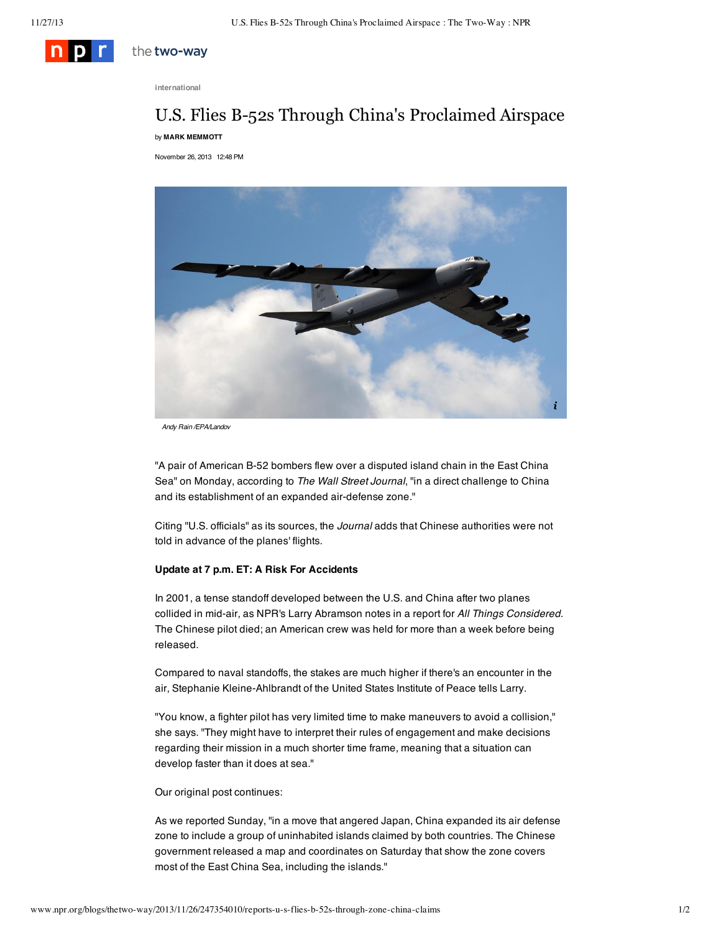

the two-way

**international**

## U.S. Flies B-52s Through China's Proclaimed Airspace by **MARK [MEMMOTT](http://www.npr.org/people/104192887/mark-memmott)**

November 26, 2013 12:48 PM



*Andy Rain /EPA/Landov*

"A pair of American B-52 bombers flew over a disputed island chain in the East China Sea" on Monday, [according](http://online.wsj.com/news/articles/SB10001424052702303281504579221993719005178) to *The Wall Street Journal*, "in a direct challenge to China and its establishment of an expanded air-defense zone."

Citing "U.S. officials" as its sources, the *Journal* adds that Chinese authorities were not told in advance of the planes' flights.

## **Update at 7 p.m. ET: A Risk For Accidents**

In 2001, a tense standoff developed between the U.S. and China after two planes collided in mid-air, as NPR's Larry Abramson notes in a report for *All Things Considered*. The Chinese pilot died; an American crew was held for more than a week before being released.

Compared to naval standoffs, the stakes are much higher if there's an encounter in the air, Stephanie Kleine-Ahlbrandt of the United States Institute of Peace tells Larry.

"You know, a fighter pilot has very limited time to make maneuvers to avoid a collision," she says. "They might have to interpret their rules of engagement and make decisions regarding their mission in a much shorter time frame, meaning that a situation can develop faster than it does at sea."

## Our original post continues:

As we [reported](http://www.npr.org/blogs/thetwo-way/2013/11/24/247041581/china-expands-air-defense-zone-over-disputed-islands) Sunday, "in a move that angered Japan, China expanded its air defense zone to include a group of uninhabited islands claimed by both countries. The Chinese government released a map and [coordinates](http://news.xinhuanet.com/english/china/2013-11/23/c_132911635.htm) on Saturday that show the zone covers most of the East China Sea, including the islands."